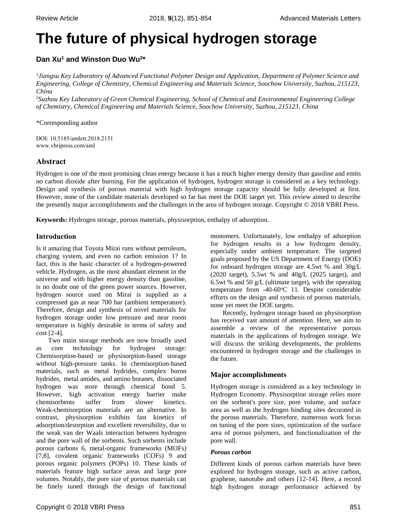# **The future of physical hydrogen storage**

# **Dan Xu<sup>1</sup> and Winston Duo Wu<sup>2</sup> \***

*1 Jiangsu Key Laboratory of Advanced Functional Polymer Design and Application, Department of Polymer Science and Engineering, College of Chemistry, Chemical Engineering and Materials Science, Soochow University, Suzhou, 215123, China*

*<sup>2</sup>Suzhou Key Laboratory of Green Chemical Engineering, School of Chemical and Environmental Engineering College of Chemistry, Chemical Engineering and Materials Science, Soochow University, Suzhou, 215123, China*

\*Corresponding author

DOI: 10.5185/amlett.2018.2151 www.vbripress.com/aml

# **Abstract**

Hydrogen is one of the most promising clean energy because it has a much higher energy density than gasoline and emits no carbon dioxide after burning. For the application of hydrogen, hydrogen storage is considered as a key technology. Design and synthesis of porous material with high hydrogen storage capacity should be fully developed at first. However, none of the candidate materials developed so far has meet the DOE target yet. This review aimed to describe the presently major accomplishments and the challenges in the area of hydrogen storage. Copyright © 2018 VBRI Press.

**Keywords:** Hydrogen storage, porous materials, physisorption, enthalpy of adsorption.

# **Introduction**

Is it amazing that Toyota Mirai runs without petroleum, charging system, and even no carbon emission [1?](#page-2-0) In fact, this is the basic character of a hydrogen-powered vehicle. Hydrogen, as the most abundant element in the universe and with higher energy density than gasoline, is no doubt one of the green power sources. However, hydrogen source used on Mirai is supplied as a compressed gas at near 700 bar (ambient temperature). Therefore, design and synthesis of novel materials for hydrogen storage under low pressure and near room temperature is highly desirable in terms of safety and cost [2-4].

Two main storage methods are now broadly used core technology for hydrogen storage: Chemisorption-based or physisorption-based storage without high-pressure tanks. In chemisorption-based materials, such as metal hydrides, complex boron hydrides, metal amides, and amino boranes, dissociated hydrogen was store through chemical bond [5.](#page-2-1) However, high activation energy barrier make chemisorbents suffer from slower kinetics. Weak-chemisorption materials are an alternative. In contrast, physisorption exhibits fast kinetics of adsorption/desorption and excellent reversibility, due to the weak van der Waals interaction between hydrogen and the pore wall of the sorbents. Such sorbents include porous carbons [6,](#page-2-2) metal-organic frameworks (MOFs) [7,8], covalent organic frameworks (COFs) [9](#page-2-3) and porous organic polymers (POPs) [10.](#page-2-4) These kinds of materials feature high surface areas and large pore volumes. Notably, the pore size of porous materials can be finely tuned through the design of functional monomers. Unfortunately, low enthalpy of adsorption for hydrogen results in a low hydrogen density, especially under ambient temperature. The targeted goals proposed by the US Department of Energy (DOE) for onboard hydrogen storage are 4.5wt % and 30g/L (2020 target), 5.5wt % and 40g/L (2025 target), and 6.5wt % and 50  $g/L$  (ultimate target), with the operating temperature from -40-60°C [11.](#page-2-5) Despite considerable efforts on the design and synthesis of porous materials, none yet meet the DOE targets.

Recently, hydrogen storage based on physisorption has received vast amount of attention. Here, we aim to assemble a review of the representative porous materials in the applications of hydrogen storage. We will discuss the striking developments, the problems encountered in hydrogen storage and the challenges in the future.

# **Major accomplishments**

Hydrogen storage is considered as a key technology in Hydrogen Economy. Physisorption storage relies more on the sorbent's pore size, pore volume, and surface area as well as the hydrogen binding sites decorated in the porous materials. Therefore, numerous work focus on tuning of the pore sizes, optimization of the surface area of porous polymers, and functionalization of the pore wall.

## *Porous carbon*

Different kinds of porous carbon materials have been explored for hydrogen storage, such as active carbon, graphene, nanotube and others [12-14]. Here, a record high hydrogen storage performance achieved by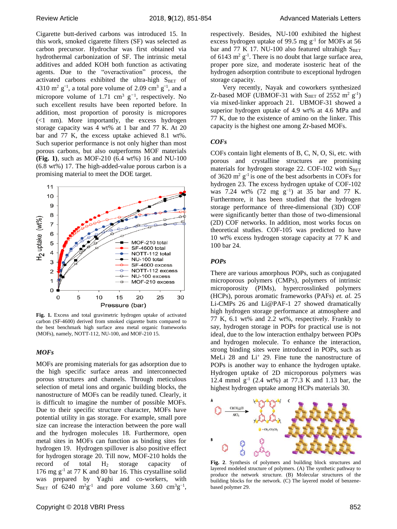Cigarette butt-derived carbons was introduced [15.](#page-2-6) In this work, smoked cigarette filters (SF) was selected as carbon precursor. Hydrochar was first obtained via hydrothermal carbonization of SF. The intrinsic metal additives and added KOH both function as activating agents. Due to the "overactivation" process, the activated carbons exhibited the ultra-high  $S<sub>BET</sub>$  of 4310 m<sup>2</sup>  $g^{-1}$ , a total pore volume of 2.09 cm<sup>3</sup>  $g^{-1}$ , and a micropore volume of 1.71 cm<sup>3</sup>  $g^{-1}$ , respectively. No such excellent results have been reported before. In addition, most proportion of porosity is micropores (<1 nm). More importantly, the excess hydrogen storage capacity was 4 wt% at 1 bar and 77 K. At 20 bar and 77 K, the excess uptake achieved 8.1 wt%. Such superior performance is not only higher than most porous carbons, but also outperforms MOF materials **(Fig. 1)**, such as MOF-210 (6.4 wt%) [16](#page-2-7) and NU-100 (6.8 wt%) [17.](#page-2-8) The high-added-value porous carbon is a promising material to meet the DOE target.



**Fig. 1.** Excess and total gravimetric hydrogen uptake of activated carbon (SF-4600) derived from smoked cigarette butts compared to the best benchmark high surface area metal organic frameworks (MOFs), namely, NOTT-112, NU-100, and MOF-210 [15.](#page-2-6)

#### *MOFs*

MOFs are promising materials for gas adsorption due to the high specific surface areas and interconnected porous structures and channels. Through meticulous selection of metal ions and organic building blocks, the nanostructure of MOFs can be readily tuned. Clearly, it is difficult to imagine the number of possible MOFs. Due to their specific structure character, MOFs have potential utility in gas storage. For example, small pore size can increase the interaction between the pore wall and the hydrogen molecules [18.](#page-2-9) Furthermore, open metal sites in MOFs can function as binding sites for hydrogen [19.](#page-2-10) Hydrogen spillover is also positive effect for hydrogen storage [20.](#page-2-11) Till now, MOF-210 holds the record of total  $H_2$  storage capacity of 176 mg g-1 at 77 K and 80 bar [16.](#page-2-7) This crystalline solid was prepared by Yaghi and co-workers, with S<sub>BET</sub> of 6240 m<sup>2</sup>g<sup>-1</sup> and pore volume 3.60 cm<sup>3</sup>g<sup>-1</sup>, respectively. Besides, NU-100 exhibited the highest excess hydrogen uptake of 99.5 mg  $g^{-1}$  for MOFs at 56 bar and 77 K [17.](#page-2-8) NU-100 also featured ultrahigh  $S<sub>BET</sub>$ of 6143  $m^2$  g<sup>-1</sup>. There is no doubt that large surface area, proper pore size, and moderate isosteric heat of the hydrogen adsorption contribute to exceptional hydrogen storage capacity.

Very recently, Nayak and coworkers synthesized Zr-based MOF (UBMOF-31 with  $S<sub>BET</sub>$  of 2552 m<sup>2</sup> g<sup>-1</sup>) via mixed-linker approach [21.](#page-2-12) UBMOF-31 showed a superior hydrogen uptake of 4.9 wt% at 4.6 MPa and 77 K, due to the existence of amino on the linker. This capacity is the highest one among Zr-based MOFs.

#### *COFs*

COFs contain light elements of B, C, N, O, Si, etc. with porous and crystalline structures are promising materials for hydrogen storage [22.](#page-2-13) COF-102 with  $S<sub>BET</sub>$ of 3620  $m^2$  g<sup>-1</sup> is one of the best adsorbents in COFs for hydrogen [23.](#page-2-14) The excess hydrogen uptake of COF-102 was 7.24 wt% (72 mg  $g^{-1}$ ) at 35 bar and 77 K. Furthermore, it has been studied that the hydrogen storage performance of three-dimensional (3D) COF were significantly better than those of two-dimensional (2D) COF networks. In addition, most works focus on theoretical studies. COF-105 was predicted to have 10 wt% excess hydrogen storage capacity at 77 K and 100 bar [24.](#page-2-15)

#### *POPs*

There are various amorphous POPs, such as conjugated microporous polymers (CMPs), polymers of intrinsic microporosity (PIMs), hypercrosslinked polymers (HCPs), porous aromatic frameworks (PAFs) *et. al.* [25](#page-2-16) Li-CMPs [26](#page-2-17) and Li@PAF-1 [27](#page-2-18) showed dramatically high hydrogen storage performance at atmosphere and 77 K, 6.1 wt% and 2.2 wt%, respectively. Frankly to say, hydrogen storage in POPs for practical use is not ideal, due to the low interaction enthalpy between POPs and hydrogen molecule. To enhance the interaction, strong binding sites were introduced in POPs, such as MeLi [28](#page-2-19) and  $Li<sup>+</sup>$  [29.](#page-2-20) Fine tune the nanostructure of POPs is another way to enhance the hydrogen uptake. Hydrogen uptake of 2D microporous polymers was 12.4 mmol g-1 (2.4 wt%) at 77.3 K and 1.13 bar, the highest hydrogen uptake among HCPs materials [30.](#page-3-0)



**Fig. 2**. Synthesis of polymers and building block structures and layered modeled structure of polymers. (A) The synthetic pathway to produce the network structure. (B) Molecular structures of the building blocks for the network. (C) The layered model of benzenebased polymer [29.](#page-2-20)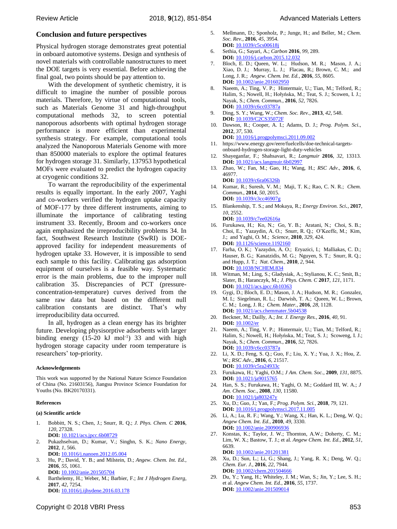#### **Conclusion and future perspectives**

Physical hydrogen storage demonstrates great potential in onboard automotive systems. Design and synthesis of novel materials with controllable nanostructures to meet the DOE targets is very essential. Before achieving the final goal, two points should be pay attention to.

With the development of synthetic chemistry, it is difficult to imagine the number of possible porous materials. Therefore, by virtue of computational tools, such as Materials Genome [31](#page-3-1) and high-throughput computational methods [32,](#page-3-2) to screen potential nanoporous adsorbents with optimal hydrogen storage performance is more efficient than experimental synthesis strategy. For example, computational tools analyzed the Nanoporous Materials Genome with more than 850000 materials to explore the optimal features for hydrogen storage [31.](#page-3-1) Similarly, 137953 hypothetical MOFs were evaluated to predict the hydrogen capacity at cryogenic conditions [32.](#page-3-2)

To warrant the reproducibility of the experimental results is equally important. In the early 2007, Yaghi and co-workers verified the hydrogen uptake capacity of MOF-177 by three different instruments, aiming to illuminate the importance of calibrating testing instrument [33.](#page-3-3) Recently, Broom and co-workers once again emphasized the irreproducibility problems [34.](#page-3-4) In fact, Southwest Research Institute (SwRI) is DOEapproved facility for independent measurements of hydrogen uptake [33.](#page-3-3) However, it is impossible to send each sample to this facility. Calibrating gas adsorption equipment of ourselves is a feasible way. Systematic error is the main problems, due to the improper null calibration [35.](#page-3-5) Discrepancies of PCT (pressureconcentration-temperature) curves derived from the same raw data but based on the different null calibration constants are distinct. That's why irreproducibility data occurred.

In all, hydrogen as a clean energy has its brighter future. Developing physisorptive adsorbents with larger binding energy  $(15{\text -}20 \text{ kJ} \text{ mol}^{-1})$  [33](#page-3-3) and with high hydrogen storage capacity under room temperature is researchers' top-priority.

## **Acknowledgements**

This work was supported by the National Nature Science Foundation of China (No. 21603156), Jiangsu Province Science Foundation for Youths (No. BK20170331).

#### **References**

#### **(a) Scientific article**

- <span id="page-2-0"></span>1. Bobbitt, N. S.; Chen, J.; Snurr, R. Q.; *J. Phys. Chem. C* **2016**, *120*, 27328. **DOI:** 10.1021/acs.jpcc.6b08729
- 2. Pukazhselvan, D.; Kumar, V.; Singhn, S. K.; *Nano Energy*, **2012**, *1*, 566.
- **DOI:** 10.1016/j.nanoen.2012.05.004
- 3. Hu, P.; David, Y. B.; and Milstein, D.; *Angew. Chem. Int. Ed.*, **2016**, *55*, 1061. **DOI:** 10.1002/anie.201505704
- 4. Barthelemy, H.; Weber, M.; Barbier, F.; *Int J Hydrogen Energ*, **2017**, *42*, 7254. **DOI:** 10.1016/j.ijhydene.2016.03.178
- <span id="page-2-1"></span>5. Mellmann, D.; Sponholz, P.; Junge, H.; and Beller, M.; *Chem. Soc. Rev.*, **2016**, *45*, 3954. **DOI:** 10.1039/c5cs00618j
- <span id="page-2-2"></span>6. Sethia, G.; Sayari, A.; *Carbon* **2016**, *99*, 289. **DOI:** 10.1016/j.carbon.2015.12.032
- 7. Bloch, E. D.; Queen, W. L.; Hudson, M. R.; Mason, J. A.; Xiao, D. J.; Murray, L. J.; Flacau, R.; Brown, C. M.; and Long, J. R.; *Angew. Chem. Int. Ed.*, **2016**, *55*, 8605. **DOI:** 10.1002/anie.201602950
- 8. Naeem, A.; Ting, V. P.; Hintermair, U.; Tian, M.; Telford, R.; Halim, S.; Nowell, H.; Hołyńska, M.; Teat, S. J.; Scowen, I. J.; Nayak, S.; *Chem. Commun.,* **2016**, *52*, 7826. **DOI:** 10.1039/c6cc03787a
- <span id="page-2-3"></span>9. Ding, S. Y.; Wang, W.; *Chem. Soc. Rev.*, **2013**, *42*, 548. **DOI:** 10.1039/C2CS35072F
- <span id="page-2-4"></span>10. Dawson, R.; Cooper, A. I.; Adams, D. J.; *Prog. Polym. Sci*., **2012**, *37*, 530.
	- **DOI:** 10.1016/j.progpolymsci.2011.09.002
- <span id="page-2-5"></span>11. [https://www.energy.gov/eere/fuelcells/doe-technical-targets](https://www.energy.gov/eere/fuelcells/doe-technical-targets-onboard-hydrogen-storage-light-duty-vehicles)[onboard-hydrogen-storage-light-duty-vehicles](https://www.energy.gov/eere/fuelcells/doe-technical-targets-onboard-hydrogen-storage-light-duty-vehicles)
- 12. Shayeganfar, F.; Shahsavari, R.; *Langmuir* **2016**, *32*, 13313. **DOI:** 10.1021/acs.langmuir.6b02997
- 13. Zhao, W.; Fan, M.; Gao, H.; Wang, H.; *RSC Adv*., **2016**, *6*, 46977. **DOI:** 10.1039/c6ra06326h
- 14. Kumar, R.; Suresh, V. M.; Maji, T. K.; Rao, C. N. R.; *Chem. Commun.*, **2014**, *50*, 2015. **DOI:** 10.1039/c3cc46907g
- <span id="page-2-6"></span>15. Blankenship, T. S.; and Mokaya, R.; *Energy Environ. Sci.*, **2017**, *10*, 2552.
- <span id="page-2-7"></span>**DOI:** 10.1039/c7ee02616a 16. Furukawa, H.; Ko, N.; Go, Y. B.; Aratani, N.; Choi, S. B.; Choi, E.; Yazaydin, A. O.; Snurr, R. Q.; O'Keeffe, M.; Kim, J.; and Yaghi, O. M.; *Science*, **2010**, *329*, 424. **DOI:** 10.1126/science.1192160
- <span id="page-2-8"></span>17. Farha, O. K.; Yazaydın, A. O.; Eryazici, I.; Malliakas, C. D.; Hauser, B. G.; Kanatzidis, M. G.; Nguyen, S. T.; Snurr, R. Q.; and Hupp, J. T.; *Nat. Chem.*, **2010**, *2*, 944. **DOI:** 10.1038/NCHEM.834
- <span id="page-2-9"></span>18. Witman, M.; Ling, S.; Gladysiak, A.; Stylianou, K. C.; Smit, B.; Slater, B.; Haranczyk, M.; *J. Phys. Chem. C* **2017**, *121*, 1171. **DOI:** 10.1021/acs.jpcc.6b10363
- <span id="page-2-10"></span>19. Gygi, D.; Bloch, E. D.; Mason, J. A.; Hudson, M. R.; Gonzalez, M. I.; Siegelman, R. L.; Darwish, T. A.; Queen, W. L.; Brown, C. M.; Long, J. R.; *Chem. Mater.,* **2016**, *28*, 1128. **DOI:** 10.1021/acs.chemmater.5b04538
- <span id="page-2-11"></span>20. Beckner, M.; Dailly, A.; *Int. J. Energy Res.,* **2016**, *40*, 91. **DOI:** 10.1002/er
- <span id="page-2-12"></span>21. Naeem, A.; Ting, V. P.; Hintermair, U.; Tian, M.; Telford, R.; Halim, S.; Nowell, H.; Hołyńska, M.; Teat, S. J.; Scoweng, I. J.; Nayak, S.; *Chem. Commun*., **2016**, *52*, 7826. **DOI:** 10.1039/c6cc03787a
- <span id="page-2-13"></span>22. Li, X. D.; Feng, S. Q.; Guo, F.; Liu, X. Y.; Yua, J. X.; Hou, Z. W.; *RSC Adv.*, **2016**, *6*, 21517. **DOI:** 10.1039/c5ra24933
- <span id="page-2-14"></span>23. Furukawa, H.; Yaghi, O.M.; *J Am. Chem. Soc.*, **2009**, *131*, 8875. **DOI:** 10.1021/ja9015765
- <span id="page-2-15"></span>24. Han, S. S.; Furukawa, H.; Yaghi, O. M.; Goddard III, W. A.; *J Am. Chem. Soc.*, **2008**, *130*, 11580. **DOI:** 10.1021/ja803247y
- <span id="page-2-16"></span>25. Xu, D.; Guo, J.; Yan, F.; *Prog. Polym. Sci.*, **2018**, *79*, 121. **DOI:** [10.1016/j.progpolymsci.2017.11.005](https://doi.org/10.1016/j.progpolymsci.2017.11.005)
- <span id="page-2-17"></span>26. Li, A.; Lu, R. F.; Wang, Y.; Wang, X.; Han, K. L.; Deng, W. Q.; *Angew Chem. Int. Ed.*, **2010**, *49*, 3330. **DOI:** 10.1002/anie.200906936
- <span id="page-2-18"></span>27. Konstas, K.; Taylor, J. W.; Thornton, A.W.; Doherty, C. M.; Lim, W. X.; Bastow, T. J.; et al. *Angew Chem. Int. Ed.*, **2012**, *51*, 6639. **DOI:** [10.1002/anie.201201381](https://doi.org/10.1002/anie.201201381)
- <span id="page-2-19"></span>28. Xu, D.; Sun, L.; Li, G.; Shang, J.; Yang, R. X.; Deng, W. Q.; *Chem. Eur. J.*, **2016**, *22*, 7944. **DOI:** 10.1002/chem.201504666
- <span id="page-2-20"></span>29. Du, Y.; Yang, H.; Whiteley, J. M.; Wan, S.; Jin, Y.; Lee, S. H.; et al. *Angew Chem. Int. Ed.*, **2016**, *55*, 1737. **DOI:** 10.1002/anie.201509014